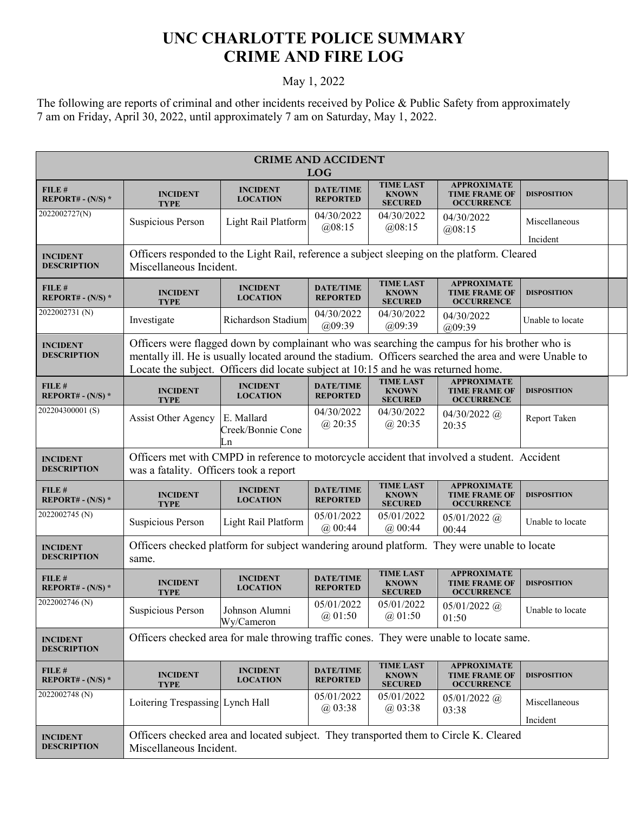## **UNC CHARLOTTE POLICE SUMMARY CRIME AND FIRE LOG**

## May 1, 2022

The following are reports of criminal and other incidents received by Police & Public Safety from approximately 7 am on Friday, April 30, 2022, until approximately 7 am on Saturday, May 1, 2022.

| <b>CRIME AND ACCIDENT</b><br><b>LOG</b> |                                                                                                                                                                                                                                                                                              |                                       |                                     |                                                    |                                                                 |                           |  |
|-----------------------------------------|----------------------------------------------------------------------------------------------------------------------------------------------------------------------------------------------------------------------------------------------------------------------------------------------|---------------------------------------|-------------------------------------|----------------------------------------------------|-----------------------------------------------------------------|---------------------------|--|
| FILE #<br>REPORT# - $(N/S)$ *           | <b>INCIDENT</b><br><b>TYPE</b>                                                                                                                                                                                                                                                               | <b>INCIDENT</b><br><b>LOCATION</b>    | <b>DATE/TIME</b><br><b>REPORTED</b> | <b>TIME LAST</b><br><b>KNOWN</b><br><b>SECURED</b> | <b>APPROXIMATE</b><br><b>TIME FRAME OF</b><br><b>OCCURRENCE</b> | <b>DISPOSITION</b>        |  |
| 2022002727(N)                           | Suspicious Person                                                                                                                                                                                                                                                                            | Light Rail Platform                   | 04/30/2022<br>@08:15                | 04/30/2022<br>@08:15                               | 04/30/2022<br>@08:15                                            | Miscellaneous<br>Incident |  |
| <b>INCIDENT</b><br><b>DESCRIPTION</b>   | Officers responded to the Light Rail, reference a subject sleeping on the platform. Cleared<br>Miscellaneous Incident.                                                                                                                                                                       |                                       |                                     |                                                    |                                                                 |                           |  |
| FILE #<br>REPORT# - $(N/S)$ *           | <b>INCIDENT</b><br><b>TYPE</b>                                                                                                                                                                                                                                                               | <b>INCIDENT</b><br><b>LOCATION</b>    | <b>DATE/TIME</b><br><b>REPORTED</b> | <b>TIME LAST</b><br><b>KNOWN</b><br><b>SECURED</b> | <b>APPROXIMATE</b><br><b>TIME FRAME OF</b><br><b>OCCURRENCE</b> | <b>DISPOSITION</b>        |  |
| 2022002731 (N)                          | Investigate                                                                                                                                                                                                                                                                                  | Richardson Stadium                    | 04/30/2022<br>(a)09:39              | 04/30/2022<br>@09:39                               | 04/30/2022<br>(a)09:39                                          | Unable to locate          |  |
| <b>INCIDENT</b><br><b>DESCRIPTION</b>   | Officers were flagged down by complainant who was searching the campus for his brother who is<br>mentally ill. He is usually located around the stadium. Officers searched the area and were Unable to<br>Locate the subject. Officers did locate subject at 10:15 and he was returned home. |                                       |                                     |                                                    |                                                                 |                           |  |
| FILE#<br>REPORT# - $(N/S)$ *            | <b>INCIDENT</b><br><b>TYPE</b>                                                                                                                                                                                                                                                               | <b>INCIDENT</b><br><b>LOCATION</b>    | <b>DATE/TIME</b><br><b>REPORTED</b> | <b>TIME LAST</b><br><b>KNOWN</b><br><b>SECURED</b> | <b>APPROXIMATE</b><br><b>TIME FRAME OF</b><br><b>OCCURRENCE</b> | <b>DISPOSITION</b>        |  |
| 202204300001(S)                         | <b>Assist Other Agency</b>                                                                                                                                                                                                                                                                   | E. Mallard<br>Creek/Bonnie Cone<br>Ln | 04/30/2022<br>$(a)$ 20:35           | 04/30/2022<br>$(a)$ 20:35                          | $04/30/2022$ (a)<br>20:35                                       | Report Taken              |  |
| <b>INCIDENT</b><br><b>DESCRIPTION</b>   | Officers met with CMPD in reference to motorcycle accident that involved a student. Accident<br>was a fatality. Officers took a report                                                                                                                                                       |                                       |                                     |                                                    |                                                                 |                           |  |
| FILE#<br>REPORT# - $(N/S)$ *            | <b>INCIDENT</b><br><b>TYPE</b>                                                                                                                                                                                                                                                               | <b>INCIDENT</b><br><b>LOCATION</b>    | <b>DATE/TIME</b><br><b>REPORTED</b> | <b>TIME LAST</b><br><b>KNOWN</b><br><b>SECURED</b> | <b>APPROXIMATE</b><br><b>TIME FRAME OF</b><br><b>OCCURRENCE</b> | <b>DISPOSITION</b>        |  |
| 2022002745 (N)                          | <b>Suspicious Person</b>                                                                                                                                                                                                                                                                     | Light Rail Platform                   | 05/01/2022<br>$(a)$ 00:44           | 05/01/2022<br>$(a)$ 00:44                          | $05/01/2022$ @<br>00:44                                         | Unable to locate          |  |
| <b>INCIDENT</b><br><b>DESCRIPTION</b>   | Officers checked platform for subject wandering around platform. They were unable to locate<br>same.                                                                                                                                                                                         |                                       |                                     |                                                    |                                                                 |                           |  |
| FILE#<br>REPORT# - $(N/S)$ *            | <b>INCIDENT</b><br><b>TYPE</b>                                                                                                                                                                                                                                                               | <b>INCIDENT</b><br><b>LOCATION</b>    | <b>DATE/TIME</b><br><b>REPORTED</b> | <b>TIME LAST</b><br><b>KNOWN</b><br><b>SECURED</b> | <b>APPROXIMATE</b><br><b>TIME FRAME OF</b><br><b>OCCURRENCE</b> | <b>DISPOSITION</b>        |  |
| 2022002746 (N)                          | Suspicious Person                                                                                                                                                                                                                                                                            | Johnson Alumni<br>Wy/Cameron          | 05/01/2022<br>(a) 01:50             | 05/01/2022<br>(a) 01:50                            | $05/01/2022$ @<br>01:50                                         | Unable to locate          |  |
| <b>INCIDENT</b><br><b>DESCRIPTION</b>   | Officers checked area for male throwing traffic cones. They were unable to locate same.                                                                                                                                                                                                      |                                       |                                     |                                                    |                                                                 |                           |  |
| FILE #<br>REPORT# - $(N/S)$ *           | <b>INCIDENT</b><br><b>TYPE</b>                                                                                                                                                                                                                                                               | <b>INCIDENT</b><br><b>LOCATION</b>    | <b>DATE/TIME</b><br><b>REPORTED</b> | <b>TIME LAST</b><br><b>KNOWN</b><br><b>SECURED</b> | <b>APPROXIMATE</b><br><b>TIME FRAME OF</b><br><b>OCCURRENCE</b> | <b>DISPOSITION</b>        |  |
| 2022002748 (N)                          | Loitering Trespassing Lynch Hall                                                                                                                                                                                                                                                             |                                       | 05/01/2022<br>$(a)$ 03:38           | 05/01/2022<br>@03:38                               | $05/01/2022$ @<br>03:38                                         | Miscellaneous<br>Incident |  |
| <b>INCIDENT</b><br><b>DESCRIPTION</b>   | Officers checked area and located subject. They transported them to Circle K. Cleared<br>Miscellaneous Incident.                                                                                                                                                                             |                                       |                                     |                                                    |                                                                 |                           |  |